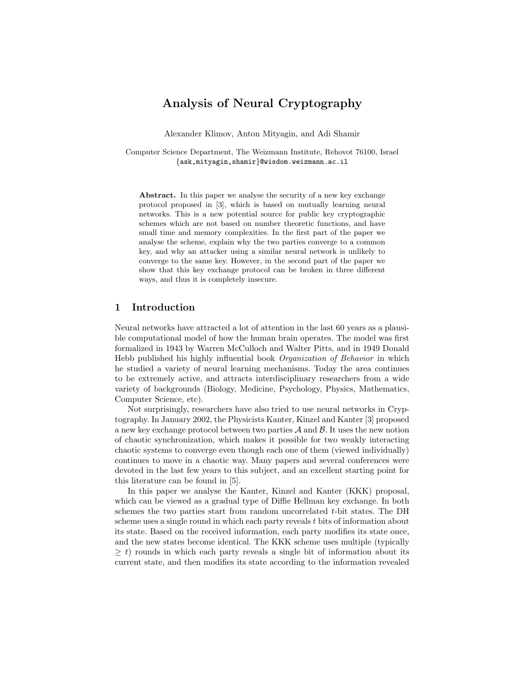# Analysis of Neural Cryptography

Alexander Klimov, Anton Mityagin, and Adi Shamir

Computer Science Department, The Weizmann Institute, Rehovot 76100, Israel {ask,mityagin,shamir}@wisdom.weizmann.ac.il

Abstract. In this paper we analyse the security of a new key exchange protocol proposed in [3], which is based on mutually learning neural networks. This is a new potential source for public key cryptographic schemes which are not based on number theoretic functions, and have small time and memory complexities. In the first part of the paper we analyse the scheme, explain why the two parties converge to a common key, and why an attacker using a similar neural network is unlikely to converge to the same key. However, in the second part of the paper we show that this key exchange protocol can be broken in three different ways, and thus it is completely insecure.

## 1 Introduction

Neural networks have attracted a lot of attention in the last 60 years as a plausible computational model of how the human brain operates. The model was first formalized in 1943 by Warren McCulloch and Walter Pitts, and in 1949 Donald Hebb published his highly influential book Organization of Behavior in which he studied a variety of neural learning mechanisms. Today the area continues to be extremely active, and attracts interdisciplinary researchers from a wide variety of backgrounds (Biology, Medicine, Psychology, Physics, Mathematics, Computer Science, etc).

Not surprisingly, researchers have also tried to use neural networks in Cryptography. In January 2002, the Physicists Kanter, Kinzel and Kanter [3] proposed a new key exchange protocol between two parties  $A$  and  $B$ . It uses the new notion of chaotic synchronization, which makes it possible for two weakly interacting chaotic systems to converge even though each one of them (viewed individually) continues to move in a chaotic way. Many papers and several conferences were devoted in the last few years to this subject, and an excellent starting point for this literature can be found in [5].

In this paper we analyse the Kanter, Kinzel and Kanter (KKK) proposal, which can be viewed as a gradual type of Diffie Hellman key exchange. In both schemes the two parties start from random uncorrelated t-bit states. The DH scheme uses a single round in which each party reveals t bits of information about its state. Based on the received information, each party modifies its state once, and the new states become identical. The KKK scheme uses multiple (typically  $\geq t$ ) rounds in which each party reveals a single bit of information about its current state, and then modifies its state according to the information revealed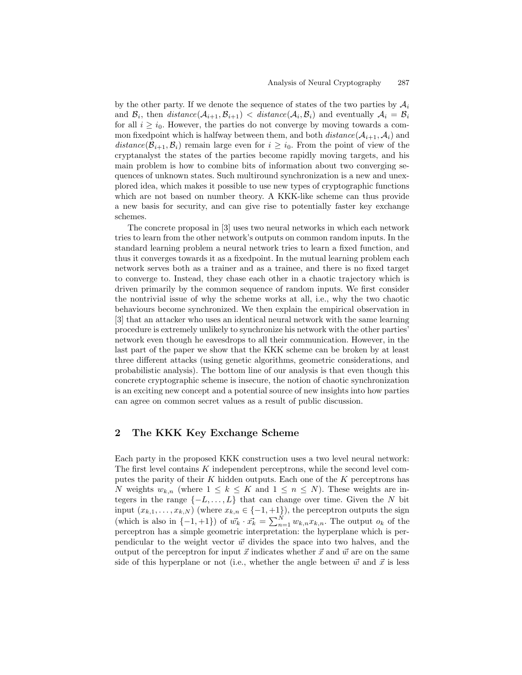by the other party. If we denote the sequence of states of the two parties by  $\mathcal{A}_i$ and  $\mathcal{B}_i$ , then  $distance(\mathcal{A}_{i+1}, \mathcal{B}_{i+1}) \lt distance(\mathcal{A}_i, \mathcal{B}_i)$  and eventually  $\mathcal{A}_i = \mathcal{B}_i$ for all  $i \geq i_0$ . However, the parties do not converge by moving towards a common fixedpoint which is halfway between them, and both  $distance(\mathcal{A}_{i+1}, \mathcal{A}_i)$  and distance( $\mathcal{B}_{i+1}, \mathcal{B}_i$ ) remain large even for  $i \geq i_0$ . From the point of view of the cryptanalyst the states of the parties become rapidly moving targets, and his main problem is how to combine bits of information about two converging sequences of unknown states. Such multiround synchronization is a new and unexplored idea, which makes it possible to use new types of cryptographic functions which are not based on number theory. A KKK-like scheme can thus provide a new basis for security, and can give rise to potentially faster key exchange schemes.

The concrete proposal in [3] uses two neural networks in which each network tries to learn from the other network's outputs on common random inputs. In the standard learning problem a neural network tries to learn a fixed function, and thus it converges towards it as a fixedpoint. In the mutual learning problem each network serves both as a trainer and as a trainee, and there is no fixed target to converge to. Instead, they chase each other in a chaotic trajectory which is driven primarily by the common sequence of random inputs. We first consider the nontrivial issue of why the scheme works at all, i.e., why the two chaotic behaviours become synchronized. We then explain the empirical observation in [3] that an attacker who uses an identical neural network with the same learning procedure is extremely unlikely to synchronize his network with the other parties' network even though he eavesdrops to all their communication. However, in the last part of the paper we show that the KKK scheme can be broken by at least three different attacks (using genetic algorithms, geometric considerations, and probabilistic analysis). The bottom line of our analysis is that even though this concrete cryptographic scheme is insecure, the notion of chaotic synchronization is an exciting new concept and a potential source of new insights into how parties can agree on common secret values as a result of public discussion.

### 2 The KKK Key Exchange Scheme

Each party in the proposed KKK construction uses a two level neural network: The first level contains K independent perceptrons, while the second level computes the parity of their K hidden outputs. Each one of the  $K$  perceptrons has N weights  $w_{k,n}$  (where  $1 \leq k \leq K$  and  $1 \leq n \leq N$ ). These weights are integers in the range  $\{-L, \ldots, L\}$  that can change over time. Given the N bit input  $(x_{k,1},...,x_{k,N})$  (where  $x_{k,n} \in \{-1,+1\}$ ), the perceptron outputs the sign (which is also in  $\{-1,+1\}$ ) of  $\vec{w_k} \cdot \vec{x_k} = \sum_{n=1}^{N} w_{k,n} x_{k,n}$ . The output  $o_k$  of the perceptron has a simple geometric interpretation: the hyperplane which is perpendicular to the weight vector  $\vec{w}$  divides the space into two halves, and the output of the perceptron for input  $\vec{x}$  indicates whether  $\vec{x}$  and  $\vec{w}$  are on the same side of this hyperplane or not (i.e., whether the angle between  $\vec{w}$  and  $\vec{x}$  is less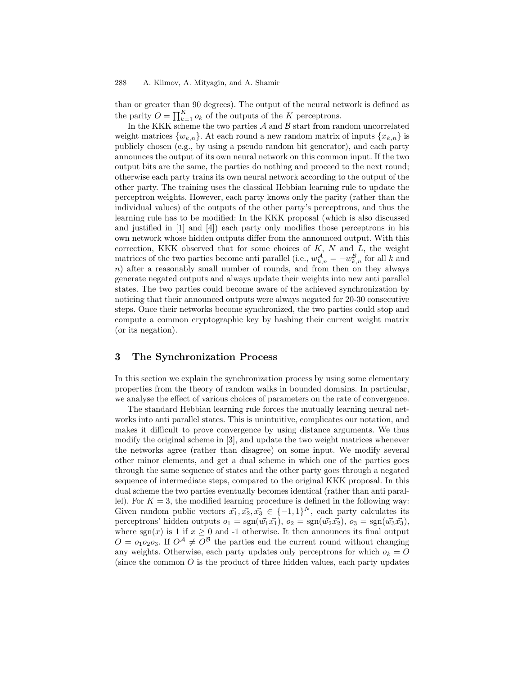#### 288 A. Klimov, A. Mityagin, and A. Shamir

than or greater than 90 degrees). The output of the neural network is defined as the parity  $O = \prod_{k=1}^{K} o_k$  of the outputs of the K perceptrons.

In the KKK scheme the two parties  $A$  and  $B$  start from random uncorrelated weight matrices  $\{w_{k,n}\}$ . At each round a new random matrix of inputs  $\{x_{k,n}\}$  is publicly chosen (e.g., by using a pseudo random bit generator), and each party announces the output of its own neural network on this common input. If the two output bits are the same, the parties do nothing and proceed to the next round; otherwise each party trains its own neural network according to the output of the other party. The training uses the classical Hebbian learning rule to update the perceptron weights. However, each party knows only the parity (rather than the individual values) of the outputs of the other party's perceptrons, and thus the learning rule has to be modified: In the KKK proposal (which is also discussed and justified in [1] and [4]) each party only modifies those perceptrons in his own network whose hidden outputs differ from the announced output. With this correction, KKK observed that for some choices of  $K$ ,  $N$  and  $L$ , the weight matrices of the two parties become anti-parallel (i.e.,  $w_{k,n}^{\mathcal{A}} = -w_{k,n}^{\mathcal{B}}$  for all k and  $n)$  after a reasonably small number of rounds, and from then on they always generate negated outputs and always update their weights into new anti parallel states. The two parties could become aware of the achieved synchronization by noticing that their announced outputs were always negated for 20-30 consecutive steps. Once their networks become synchronized, the two parties could stop and compute a common cryptographic key by hashing their current weight matrix (or its negation).

# 3 The Synchronization Process

In this section we explain the synchronization process by using some elementary properties from the theory of random walks in bounded domains. In particular, we analyse the effect of various choices of parameters on the rate of convergence.

The standard Hebbian learning rule forces the mutually learning neural networks into anti parallel states. This is unintuitive, complicates our notation, and makes it difficult to prove convergence by using distance arguments. We thus modify the original scheme in [3], and update the two weight matrices whenever the networks agree (rather than disagree) on some input. We modify several other minor elements, and get a dual scheme in which one of the parties goes through the same sequence of states and the other party goes through a negated sequence of intermediate steps, compared to the original KKK proposal. In this dual scheme the two parties eventually becomes identical (rather than anti parallel). For  $K = 3$ , the modified learning procedure is defined in the following way: Given random public vectors  $\vec{x_1}, \vec{x_2}, \vec{x_3} \in \{-1, 1\}^N$ , each party calculates its perceptrons' hidden outputs  $o_1 = \text{sgn}(\vec{w_1}\vec{x_1}), o_2 = \text{sgn}(\vec{w_2}\vec{x_2}), o_3 = \text{sgn}(\vec{w_3}\vec{x_3}),$ where sgn(x) is 1 if  $x \ge 0$  and -1 otherwise. It then announces its final output  $O = o_1o_2o_3$ . If  $O^{\mathcal{A}} \neq O^{\mathcal{B}}$  the parties end the current round without changing any weights. Otherwise, each party updates only perceptrons for which  $o_k = O$ (since the common  $O$  is the product of three hidden values, each party updates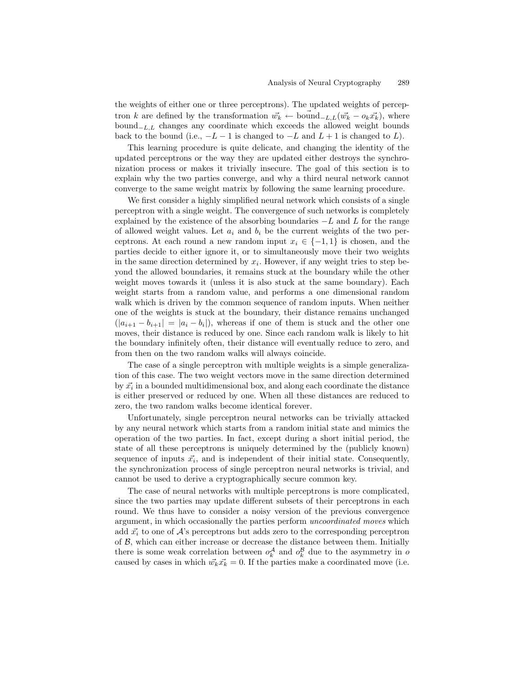the weights of either one or three perceptrons). The updated weights of perceptron k are defined by the transformation  $\vec{w_k} \leftarrow \text{bound}_{-L,L}(\vec{w_k} - o_k\vec{x_k})$ , where  $bound_{-L,L}$  changes any coordinate which exceeds the allowed weight bounds back to the bound (i.e.,  $-L-1$  is changed to  $-L$  and  $L+1$  is changed to  $L$ ).

This learning procedure is quite delicate, and changing the identity of the updated perceptrons or the way they are updated either destroys the synchronization process or makes it trivially insecure. The goal of this section is to explain why the two parties converge, and why a third neural network cannot converge to the same weight matrix by following the same learning procedure.

We first consider a highly simplified neural network which consists of a single perceptron with a single weight. The convergence of such networks is completely explained by the existence of the absorbing boundaries  $-L$  and L for the range of allowed weight values. Let  $a_i$  and  $b_i$  be the current weights of the two perceptrons. At each round a new random input  $x_i \in \{-1,1\}$  is chosen, and the parties decide to either ignore it, or to simultaneously move their two weights in the same direction determined by  $x_i$ . However, if any weight tries to step beyond the allowed boundaries, it remains stuck at the boundary while the other weight moves towards it (unless it is also stuck at the same boundary). Each weight starts from a random value, and performs a one dimensional random walk which is driven by the common sequence of random inputs. When neither one of the weights is stuck at the boundary, their distance remains unchanged  $(|a_{i+1}-b_{i+1}| = |a_i - b_i|)$ , whereas if one of them is stuck and the other one moves, their distance is reduced by one. Since each random walk is likely to hit the boundary infinitely often, their distance will eventually reduce to zero, and from then on the two random walks will always coincide.

The case of a single perceptron with multiple weights is a simple generalization of this case. The two weight vectors move in the same direction determined by  $\vec{x_i}$  in a bounded multidimensional box, and along each coordinate the distance is either preserved or reduced by one. When all these distances are reduced to zero, the two random walks become identical forever.

Unfortunately, single perceptron neural networks can be trivially attacked by any neural network which starts from a random initial state and mimics the operation of the two parties. In fact, except during a short initial period, the state of all these perceptrons is uniquely determined by the (publicly known) sequence of inputs  $\vec{x_i}$ , and is independent of their initial state. Consequently, the synchronization process of single perceptron neural networks is trivial, and cannot be used to derive a cryptographically secure common key.

The case of neural networks with multiple perceptrons is more complicated, since the two parties may update different subsets of their perceptrons in each round. We thus have to consider a noisy version of the previous convergence argument, in which occasionally the parties perform uncoordinated moves which add  $\vec{x_i}$  to one of  $\vec{A}$ 's perceptrons but adds zero to the corresponding perceptron of  $\beta$ , which can either increase or decrease the distance between them. Initially there is some weak correlation between  $o_k^{\mathcal{A}}$  and  $o_k^{\mathcal{B}}$  due to the asymmetry in  $o$ caused by cases in which  $\vec{w_k}\vec{x_k} = 0$ . If the parties make a coordinated move (i.e.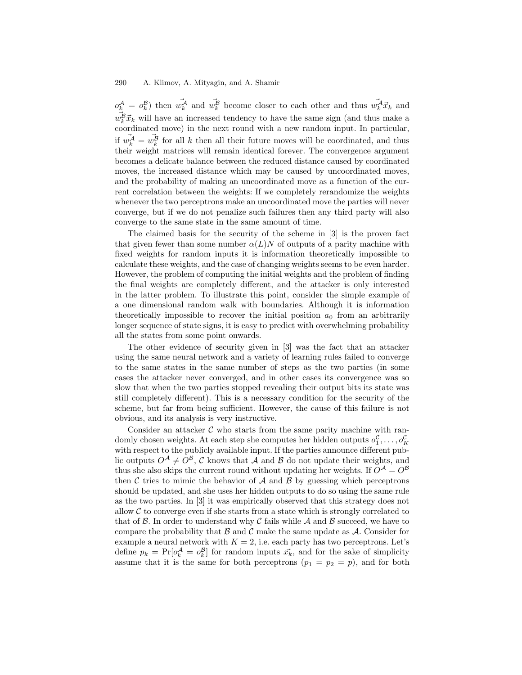$o_k^{\mathcal{A}} = o_k^{\mathcal{B}}$  then  $\vec{w_k^{\mathcal{A}}}$  and  $\vec{w_k^{\mathcal{B}}}$  become closer to each other and thus  $\vec{w_k^{\mathcal{A}}} \vec{x_k}$  and  $\vec{w}_k^B \vec{x}_k$  will have an increased tendency to have the same sign (and thus make a coordinated move) in the next round with a new random input. In particular, if  $\vec{w_k^A} = \vec{w_k^B}$  for all k then all their future moves will be coordinated, and thus their weight matrices will remain identical forever. The convergence argument becomes a delicate balance between the reduced distance caused by coordinated moves, the increased distance which may be caused by uncoordinated moves, and the probability of making an uncoordinated move as a function of the current correlation between the weights: If we completely rerandomize the weights whenever the two perceptrons make an uncoordinated move the parties will never converge, but if we do not penalize such failures then any third party will also converge to the same state in the same amount of time.

The claimed basis for the security of the scheme in [3] is the proven fact that given fewer than some number  $\alpha(L)N$  of outputs of a parity machine with fixed weights for random inputs it is information theoretically impossible to calculate these weights, and the case of changing weights seems to be even harder. However, the problem of computing the initial weights and the problem of finding the final weights are completely different, and the attacker is only interested in the latter problem. To illustrate this point, consider the simple example of a one dimensional random walk with boundaries. Although it is information theoretically impossible to recover the initial position  $a_0$  from an arbitrarily longer sequence of state signs, it is easy to predict with overwhelming probability all the states from some point onwards.

The other evidence of security given in [3] was the fact that an attacker using the same neural network and a variety of learning rules failed to converge to the same states in the same number of steps as the two parties (in some cases the attacker never converged, and in other cases its convergence was so slow that when the two parties stopped revealing their output bits its state was still completely different). This is a necessary condition for the security of the scheme, but far from being sufficient. However, the cause of this failure is not obvious, and its analysis is very instructive.

Consider an attacker  $C$  who starts from the same parity machine with randomly chosen weights. At each step she computes her hidden outputs  $o_1^{\mathcal{C}},\ldots,o_K^{\mathcal{C}}$ with respect to the publicly available input. If the parties announce different public outputs  $O^{\mathcal{A}} \neq O^{\mathcal{B}}$ , C knows that A and B do not update their weights, and thus she also skips the current round without updating her weights. If  $O^{\mathcal{A}} = O^{\mathcal{B}}$ then  $\mathcal C$  tries to mimic the behavior of  $\mathcal A$  and  $\mathcal B$  by guessing which perceptrons should be updated, and she uses her hidden outputs to do so using the same rule as the two parties. In [3] it was empirically observed that this strategy does not allow  $C$  to converge even if she starts from a state which is strongly correlated to that of  $\beta$ . In order to understand why C fails while  $\mathcal A$  and  $\mathcal B$  succeed, we have to compare the probability that  $\mathcal B$  and  $\mathcal C$  make the same update as  $\mathcal A$ . Consider for example a neural network with  $K = 2$ , i.e. each party has two perceptrons. Let's define  $p_k = \Pr[\alpha_k^{\mathcal{A}} = \alpha_k^{\mathcal{B}}]$  for random inputs  $\vec{x_k}$ , and for the sake of simplicity assume that it is the same for both perceptrons  $(p_1 = p_2 = p)$ , and for both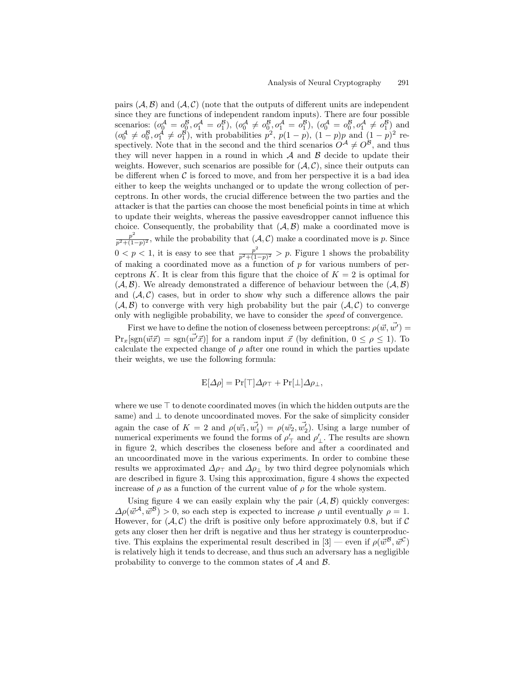pairs  $(A, \mathcal{B})$  and  $(A, \mathcal{C})$  (note that the outputs of different units are independent since they are functions of independent random inputs). There are four possible scenarios:  $(o_0^{\mathcal{A}} = o_0^{\mathcal{B}}, o_1^{\mathcal{A}} = o_1^{\mathcal{B}})$ ,  $(o_0^{\mathcal{A}} \neq o_0^{\mathcal{B}}, o_1^{\mathcal{A}} = o_1^{\mathcal{B}})$ ,  $(o_0^{\mathcal{A}} = o_1^{\mathcal{B}}, o_1^{\mathcal{A}} \neq o_1^{\mathcal{B}})$  and  $(o_0^{\mathcal{A}} \neq o_0^{\mathcal{B}}, o_1^{\mathcal{A}} \neq o_1^{\mathcal{B}})$ , with probabilities  $p^2$ ,  $p(1-p)$ ,  $(1-p)p$  and  $(1-p)^2$  respectively. Note that in the second and the third scenarios  $O^{\mathcal{A}} \neq O^{\mathcal{B}}$ , and thus they will never happen in a round in which  $A$  and  $B$  decide to update their weights. However, such scenarios are possible for  $(A, C)$ , since their outputs can be different when  $\mathcal C$  is forced to move, and from her perspective it is a bad idea either to keep the weights unchanged or to update the wrong collection of perceptrons. In other words, the crucial difference between the two parties and the attacker is that the parties can choose the most beneficial points in time at which to update their weights, whereas the passive eavesdropper cannot influence this choice. Consequently, the probability that  $(A, B)$  make a coordinated move is  $p^2$  $\frac{p}{p^2+(1-p)^2}$ , while the probability that  $(\mathcal{A}, \mathcal{C})$  make a coordinated move is p. Since  $0 < p < 1$ , it is easy to see that  $\frac{p^2}{n^2+1}$  $\frac{p}{p^2+(1-p)^2}$  > p. Figure 1 shows the probability of making a coordinated move as a function of  $p$  for various numbers of perceptrons K. It is clear from this figure that the choice of  $K = 2$  is optimal for  $(\mathcal{A}, \mathcal{B})$ . We already demonstrated a difference of behaviour between the  $(\mathcal{A}, \mathcal{B})$ and  $(A, C)$  cases, but in order to show why such a difference allows the pair  $(A, \mathcal{B})$  to converge with very high probability but the pair  $(A, \mathcal{C})$  to converge only with negligible probability, we have to consider the speed of convergence.

First we have to define the notion of closeness between perceptrons:  $\rho(\vec{w}, \vec{w'}) =$  $Pr_{x}[\text{sgn}(\vec{w}\vec{x}) = \text{sgn}(\vec{w'}\vec{x})]$  for a random input  $\vec{x}$  (by definition,  $0 \leq \rho \leq 1$ ). To calculate the expected change of  $\rho$  after one round in which the parties update their weights, we use the following formula:

$$
E[\Delta \rho] = Pr[\top] \Delta \rho_{\top} + Pr[\bot] \Delta \rho_{\bot},
$$

where we use  $\top$  to denote coordinated moves (in which the hidden outputs are the same) and  $\perp$  to denote uncoordinated moves. For the sake of simplicity consider again the case of  $K = 2$  and  $\rho(\vec{w_1}, \vec{w_1'}) = \rho(\vec{w_2}, \vec{w_2'})$ . Using a large number of numerical experiments we found the forms of  $\rho'$  and  $\rho'$ . The results are shown in figure 2, which describes the closeness before and after a coordinated and an uncoordinated move in the various experiments. In order to combine these results we approximated  $\Delta \rho_{\perp}$  and  $\Delta \rho_{\perp}$  by two third degree polynomials which are described in figure 3. Using this approximation, figure 4 shows the expected increase of  $\rho$  as a function of the current value of  $\rho$  for the whole system.

Using figure 4 we can easily explain why the pair  $(A, B)$  quickly converges:  $\Delta \rho(\vec{w}^{\mathcal{A}}, \vec{w}^{\mathcal{B}}) > 0$ , so each step is expected to increase  $\rho$  until eventually  $\rho = 1$ . However, for  $(\mathcal{A}, \mathcal{C})$  the drift is positive only before approximately 0.8, but if C gets any closer then her drift is negative and thus her strategy is counterproductive. This explains the experimental result described in  $[3]$  — even if  $\rho(\vec{w}^{\mathcal{B}}, \vec{w}^{\mathcal{C}})$ is relatively high it tends to decrease, and thus such an adversary has a negligible probability to converge to the common states of  $A$  and  $B$ .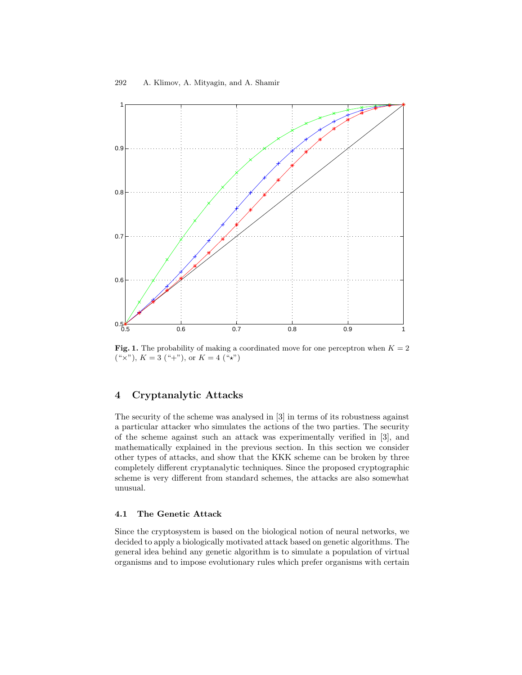

**Fig. 1.** The probability of making a coordinated move for one perceptron when  $K = 2$  $(*x"), K = 3 (*+"), or K = 4 (**)$ 

# 4 Cryptanalytic Attacks

The security of the scheme was analysed in [3] in terms of its robustness against a particular attacker who simulates the actions of the two parties. The security of the scheme against such an attack was experimentally verified in [3], and mathematically explained in the previous section. In this section we consider other types of attacks, and show that the KKK scheme can be broken by three completely different cryptanalytic techniques. Since the proposed cryptographic scheme is very different from standard schemes, the attacks are also somewhat unusual.

#### 4.1 The Genetic Attack

Since the cryptosystem is based on the biological notion of neural networks, we decided to apply a biologically motivated attack based on genetic algorithms. The general idea behind any genetic algorithm is to simulate a population of virtual organisms and to impose evolutionary rules which prefer organisms with certain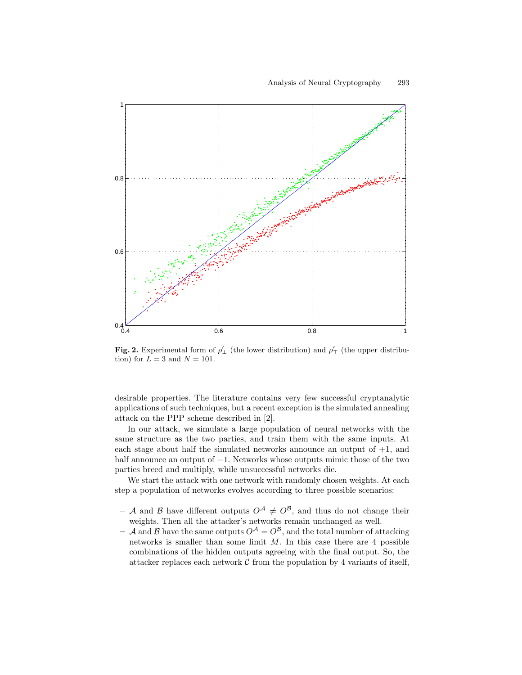

Fig. 2. Experimental form of  $\rho'$  (the lower distribution) and  $\rho'$  (the upper distribution) for  $L = 3$  and  $N = 101$ .

desirable properties. The literature contains very few successful cryptanalytic applications of such techniques, but a recent exception is the simulated annealing attack on the PPP scheme described in [2].

In our attack, we simulate a large population of neural networks with the same structure as the two parties, and train them with the same inputs. At each stage about half the simulated networks announce an output of  $+1$ , and half announce an output of  $-1$ . Networks whose outputs mimic those of the two parties breed and multiply, while unsuccessful networks die.

We start the attack with one network with randomly chosen weights. At each step a population of networks evolves according to three possible scenarios:

- A and B have different outputs  $O^{\mathcal{A}} \neq O^{\mathcal{B}}$ , and thus do not change their weights. Then all the attacker's networks remain unchanged as well.
- A and B have the same outputs  $O^{A} = O^{B}$ , and the total number of attacking networks is smaller than some limit  $M$ . In this case there are 4 possible combinations of the hidden outputs agreeing with the final output. So, the attacker replaces each network  $\mathcal C$  from the population by 4 variants of itself,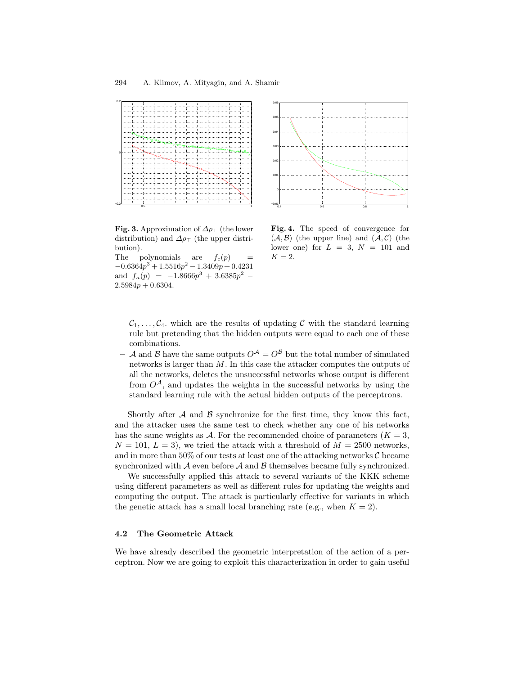

Fig. 3. Approximation of  $\Delta \rho_{\perp}$  (the lower distribution) and  $\Delta \rho_{\perp}$  (the upper distribution).

The polynomials are  $f_c(p) =$  $-0.6364p^3 + 1.5516p^2 - 1.3409p + 0.4231$ and  $f_n(p) = -1.8666p^3 + 3.6385p^2$  –  $2.5984p + 0.6304.$ 



Fig. 4. The speed of convergence for  $(A, B)$  (the upper line) and  $(A, C)$  (the lower one) for  $L = 3$ ,  $N = 101$  and  $K = 2$ .

 $C_1, \ldots, C_4$  which are the results of updating C with the standard learning rule but pretending that the hidden outputs were equal to each one of these combinations.

– A and B have the same outputs  $O^{A} = O^{B}$  but the total number of simulated networks is larger than M. In this case the attacker computes the outputs of all the networks, deletes the unsuccessful networks whose output is different from  $O^{\mathcal{A}}$ , and updates the weights in the successful networks by using the standard learning rule with the actual hidden outputs of the perceptrons.

Shortly after  $A$  and  $B$  synchronize for the first time, they know this fact, and the attacker uses the same test to check whether any one of his networks has the same weights as A. For the recommended choice of parameters  $(K = 3,$  $N = 101, L = 3$ , we tried the attack with a threshold of  $M = 2500$  networks, and in more than 50% of our tests at least one of the attacking networks  $\mathcal C$  became synchronized with  $\mathcal A$  even before  $\mathcal A$  and  $\mathcal B$  themselves became fully synchronized.

We successfully applied this attack to several variants of the KKK scheme using different parameters as well as different rules for updating the weights and computing the output. The attack is particularly effective for variants in which the genetic attack has a small local branching rate (e.g., when  $K = 2$ ).

#### 4.2 The Geometric Attack

We have already described the geometric interpretation of the action of a perceptron. Now we are going to exploit this characterization in order to gain useful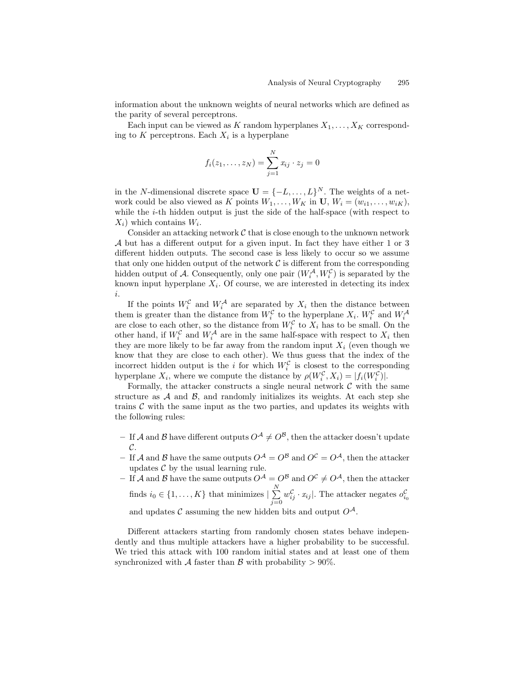information about the unknown weights of neural networks which are defined as the parity of several perceptrons.

Each input can be viewed as K random hyperplanes  $X_1, \ldots, X_K$  corresponding to K perceptrons. Each  $X_i$  is a hyperplane

$$
f_i(z_1,..., z_N) = \sum_{j=1}^N x_{ij} \cdot z_j = 0
$$

in the N-dimensional discrete space  $\mathbf{U} = \{-L, \ldots, L\}^N$ . The weights of a network could be also viewed as K points  $W_1, \ldots, W_K$  in U,  $W_i = (w_{i1}, \ldots, w_{iK}),$ while the  $i$ -th hidden output is just the side of the half-space (with respect to  $X_i$ ) which contains  $W_i$ .

Consider an attacking network  $\mathcal C$  that is close enough to the unknown network A but has a different output for a given input. In fact they have either 1 or 3 different hidden outputs. The second case is less likely to occur so we assume that only one hidden output of the network  $\mathcal C$  is different from the corresponding hidden output of A. Consequently, only one pair  $(W_i^A, W_i^C)$  is separated by the known input hyperplane  $X_i$ . Of course, we are interested in detecting its index i.

If the points  $W_i^{\mathcal{C}}$  and  $W_i^{\mathcal{A}}$  are separated by  $X_i$  then the distance between If the points  $W_i$  and  $W_i$  are separated by  $X_i$  then the distance between<br>them is greater than the distance from  $W_i^C$  to the hyperplane  $X_i$ .  $W_i^C$  and  $W_i^A$ <br>are close to each other, so the distance from  $W_i^C$  to other hand, if  $W_i^{\mathcal{C}}$  and  $W_i^{\mathcal{A}}$  are in the same half-space with respect to  $X_i$  then they are more likely to be far away from the random input  $X_i$  (even though we know that they are close to each other). We thus guess that the index of the incorrect hidden output is the i for which  $W_i^{\mathcal{C}}$  is closest to the corresponding hyperplane  $X_i$ , where we compute the distance by  $\rho(W_i^{\mathcal{C}}, X_i) = |f_i(W_i^{\mathcal{C}})|$ .

Formally, the attacker constructs a single neural network  $\mathcal C$  with the same structure as  $A$  and  $B$ , and randomly initializes its weights. At each step she trains  $C$  with the same input as the two parties, and updates its weights with the following rules:

- If A and B have different outputs  $O^{\mathcal{A}} \neq O^{\mathcal{B}}$ , then the attacker doesn't update  $\mathcal{C}.$
- If A and B have the same outputs  $O^{\mathcal{A}} = O^{\mathcal{B}}$  and  $O^{\mathcal{C}} = O^{\mathcal{A}}$ , then the attacker updates  $C$  by the usual learning rule.
- If A and B have the same outputs  $O^{\mathcal{A}} = O^{\mathcal{B}}$  and  $O^{\mathcal{C}} \neq O^{\mathcal{A}}$ , then the attacker finds  $i_0 \in \{1, ..., K\}$  that minimizes  $\mid \sum_{i=1}^{N}$  $j=0$  $w_{ij}^{\mathcal{C}} \cdot x_{ij}$ . The attacker negates  $o_{i_0}^{\mathcal{C}}$ and updates C assuming the new hidden bits and output  $O^{\mathcal{A}}$ .

Different attackers starting from randomly chosen states behave independently and thus multiple attackers have a higher probability to be successful. We tried this attack with 100 random initial states and at least one of them synchronized with A faster than B with probability  $> 90\%$ .